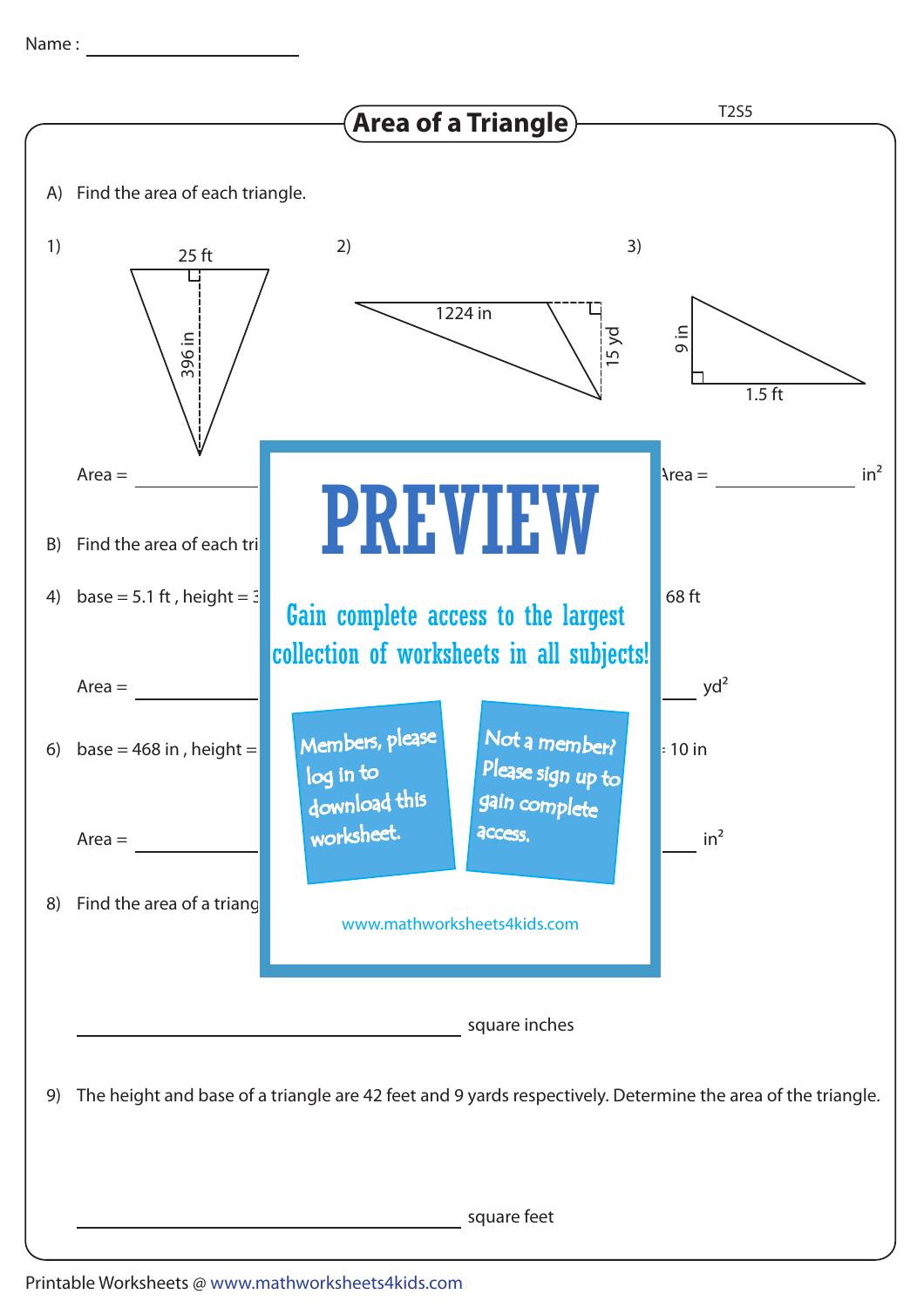